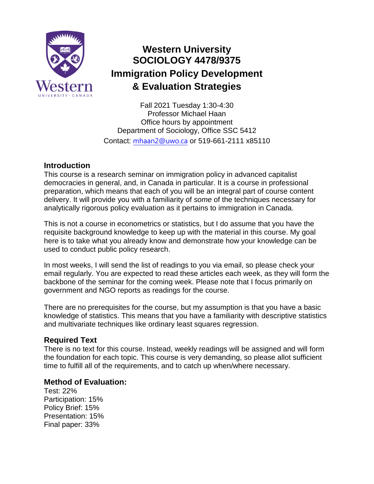

# **Western University SOCIOLOGY 4478/9375 Immigration Policy Development & Evaluation Strategies**

Fall 2021 Tuesday 1:30-4:30 Professor Michael Haan Office hours by appointment Department of Sociology, Office SSC 5412 Contact: [mhaan2@uwo.ca](mailto:mhaan2@uwo.ca) or 519-661-2111 x85110

## **Introduction**

This course is a research seminar on immigration policy in advanced capitalist democracies in general, and, in Canada in particular. It is a course in professional preparation, which means that each of you will be an integral part of course content delivery. It will provide you with a familiarity of *some* of the techniques necessary for analytically rigorous policy evaluation as it pertains to immigration in Canada.

This is not a course in econometrics or statistics, but I do assume that you have the requisite background knowledge to keep up with the material in this course. My goal here is to take what you already know and demonstrate how your knowledge can be used to conduct public policy research.

In most weeks, I will send the list of readings to you via email, so please check your email regularly. You are expected to read these articles each week, as they will form the backbone of the seminar for the coming week. Please note that I focus primarily on government and NGO reports as readings for the course.

There are no prerequisites for the course, but my assumption is that you have a basic knowledge of statistics. This means that you have a familiarity with descriptive statistics and multivariate techniques like ordinary least squares regression.

## **Required Text**

There is no text for this course. Instead, weekly readings will be assigned and will form the foundation for each topic. This course is very demanding, so please allot sufficient time to fulfill all of the requirements, and to catch up when/where necessary.

#### **Method of Evaluation:**

Test: 22% Participation: 15% Policy Brief: 15% Presentation: 15% Final paper: 33%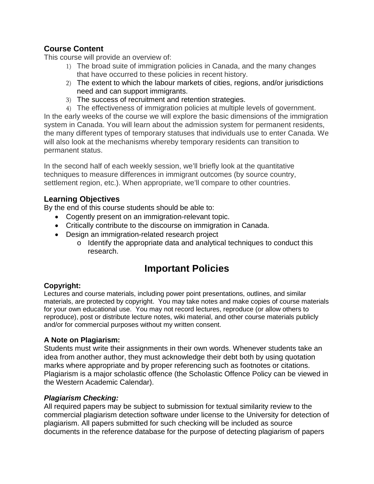## **Course Content**

This course will provide an overview of:

- 1) The broad suite of immigration policies in Canada, and the many changes that have occurred to these policies in recent history.
- 2) The extent to which the labour markets of cities, regions, and/or jurisdictions need and can support immigrants.
- 3) The success of recruitment and retention strategies.
- 4) The effectiveness of immigration policies at multiple levels of government.

In the early weeks of the course we will explore the basic dimensions of the immigration system in Canada. You will learn about the admission system for permanent residents, the many different types of temporary statuses that individuals use to enter Canada. We will also look at the mechanisms whereby temporary residents can transition to permanent status.

In the second half of each weekly session, we'll briefly look at the quantitative techniques to measure differences in immigrant outcomes (by source country, settlement region, etc.). When appropriate, we'll compare to other countries.

## **Learning Objectives**

By the end of this course students should be able to:

- Cogently present on an immigration-relevant topic.
- Critically contribute to the discourse on immigration in Canada.
- Design an immigration-related research project
	- o Identify the appropriate data and analytical techniques to conduct this research.

## **Important Policies**

## **Copyright:**

Lectures and course materials, including power point presentations, outlines, and similar materials, are protected by copyright. You may take notes and make copies of course materials for your own educational use. You may not record lectures, reproduce (or allow others to reproduce), post or distribute lecture notes, wiki material, and other course materials publicly and/or for commercial purposes without my written consent.

#### **A Note on Plagiarism:**

Students must write their assignments in their own words. Whenever students take an idea from another author, they must acknowledge their debt both by using quotation marks where appropriate and by proper referencing such as footnotes or citations. Plagiarism is a major scholastic offence (the Scholastic Offence Policy can be viewed in the Western Academic Calendar).

#### *Plagiarism Checking:*

All required papers may be subject to submission for textual similarity review to the commercial plagiarism detection software under license to the University for detection of plagiarism. All papers submitted for such checking will be included as source documents in the reference database for the purpose of detecting plagiarism of papers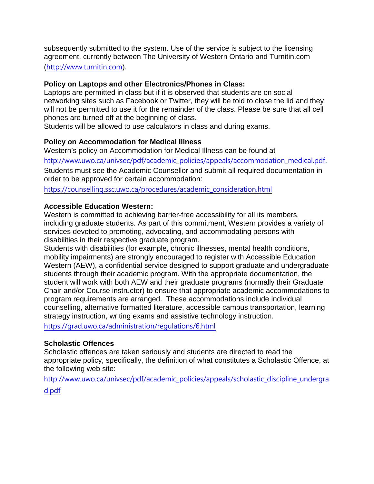subsequently submitted to the system. Use of the service is subject to the licensing agreement, currently between The University of Western Ontario and Turnitin.com

([http://www.turnitin.com](http://www.turnitin.com/)).

#### **Policy on Laptops and other Electronics/Phones in Class:**

Laptops are permitted in class but if it is observed that students are on social networking sites such as Facebook or Twitter, they will be told to close the lid and they will not be permitted to use it for the remainder of the class. Please be sure that all cell phones are turned off at the beginning of class.

Students will be allowed to use calculators in class and during exams.

#### **Policy on Accommodation for Medical Illness**

Western's policy on Accommodation for Medical Illness can be found at [http://www.uwo.ca/univsec/pdf/academic\\_policies/appeals/accommodation\\_medical.pdf](http://www.uwo.ca/univsec/pdf/academic_policies/appeals/accommodation_medical.pdf). Students must see the Academic Counsellor and submit all required documentation in order to be approved for certain accommodation:

[https://counselling.ssc.uwo.ca/procedures/academic\\_consideration.html](https://counselling.ssc.uwo.ca/procedures/academic_consideration.html)

#### **Accessible Education Western:**

Western is committed to achieving barrier-free accessibility for all its members, including graduate students. As part of this commitment, Western provides a variety of services devoted to promoting, advocating, and accommodating persons with disabilities in their respective graduate program.

Students with disabilities (for example, chronic illnesses, mental health conditions, mobility impairments) are strongly encouraged to register with Accessible Education Western (AEW), a confidential service designed to support graduate and undergraduate students through their academic program. With the appropriate documentation, the student will work with both AEW and their graduate programs (normally their Graduate Chair and/or Course instructor) to ensure that appropriate academic accommodations to program requirements are arranged. These accommodations include individual counselling, alternative formatted literature, accessible campus transportation, learning strategy instruction, writing exams and assistive technology instruction.

<https://grad.uwo.ca/administration/regulations/6.html>

#### **Scholastic Offences**

Scholastic offences are taken seriously and students are directed to read the appropriate policy, specifically, the definition of what constitutes a Scholastic Offence, at the following web site:

[http://www.uwo.ca/univsec/pdf/academic\\_policies/appeals/scholastic\\_discipline\\_undergra](http://www.uwo.ca/univsec/pdf/academic_policies/appeals/scholastic_discipline_undergrad.pdf) [d.pdf](http://www.uwo.ca/univsec/pdf/academic_policies/appeals/scholastic_discipline_undergrad.pdf)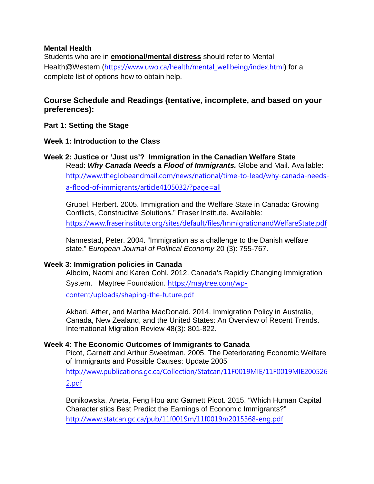#### **Mental Health**

Students who are in **emotional/mental distress** should refer to Mental Health@Western ([https://www.uwo.ca/health/mental\\_wellbeing/index.html](https://www.uwo.ca/health/mental_wellbeing/index.html)) for a complete list of options how to obtain help.

## **Course Schedule and Readings (tentative, incomplete, and based on your preferences):**

#### **Part 1: Setting the Stage**

#### **Week 1: Introduction to the Class**

## **Week 2: Justice or 'Just us'? Immigration in the Canadian Welfare State**  Read: *Why Canada Needs a Flood of Immigrants.* Globe and Mail. Available: [http://www.theglobeandmail.com/news/national/time-to-lead/why-canada-needs](http://www.theglobeandmail.com/news/national/time-to-lead/why-canada-needs-a-flood-of-immigrants/article4105032/?page=all)[a-flood-of-immigrants/article4105032/?page=all](http://www.theglobeandmail.com/news/national/time-to-lead/why-canada-needs-a-flood-of-immigrants/article4105032/?page=all)

Grubel, Herbert. 2005. Immigration and the Welfare State in Canada: Growing Conflicts, Constructive Solutions." Fraser Institute. Available: <https://www.fraserinstitute.org/sites/default/files/ImmigrationandWelfareState.pdf>

Nannestad, Peter. 2004. "Immigration as a challenge to the Danish welfare state." *European Journal of Political Economy* 20 (3): 755-767.

#### **Week 3: Immigration policies in Canada**

Alboim, Naomi and Karen Cohl. 2012. Canada's Rapidly Changing Immigration System. Maytree Foundation. [https://maytree.com/wp-](https://maytree.com/wp-content/uploads/shaping-the-future.pdf)

[content/uploads/shaping-the-future.pdf](https://maytree.com/wp-content/uploads/shaping-the-future.pdf)

Akbari, Ather, and Martha MacDonald. 2014. Immigration Policy in Australia, Canada, New Zealand, and the United States: An Overview of Recent Trends. International Migration Review 48(3): 801-822.

#### **Week 4: The Economic Outcomes of Immigrants to Canada**

Picot, Garnett and Arthur Sweetman. 2005. The Deteriorating Economic Welfare of Immigrants and Possible Causes: Update 2005

[http://www.publications.gc.ca/Collection/Statcan/11F0019MIE/11F0019MIE200526](http://www.publications.gc.ca/Collection/Statcan/11F0019MIE/11F0019MIE2005262.pdf) [2.pdf](http://www.publications.gc.ca/Collection/Statcan/11F0019MIE/11F0019MIE2005262.pdf)

Bonikowska, Aneta, Feng Hou and Garnett Picot. 2015. "Which Human Capital Characteristics Best Predict the Earnings of Economic Immigrants?" <http://www.statcan.gc.ca/pub/11f0019m/11f0019m2015368-eng.pdf>